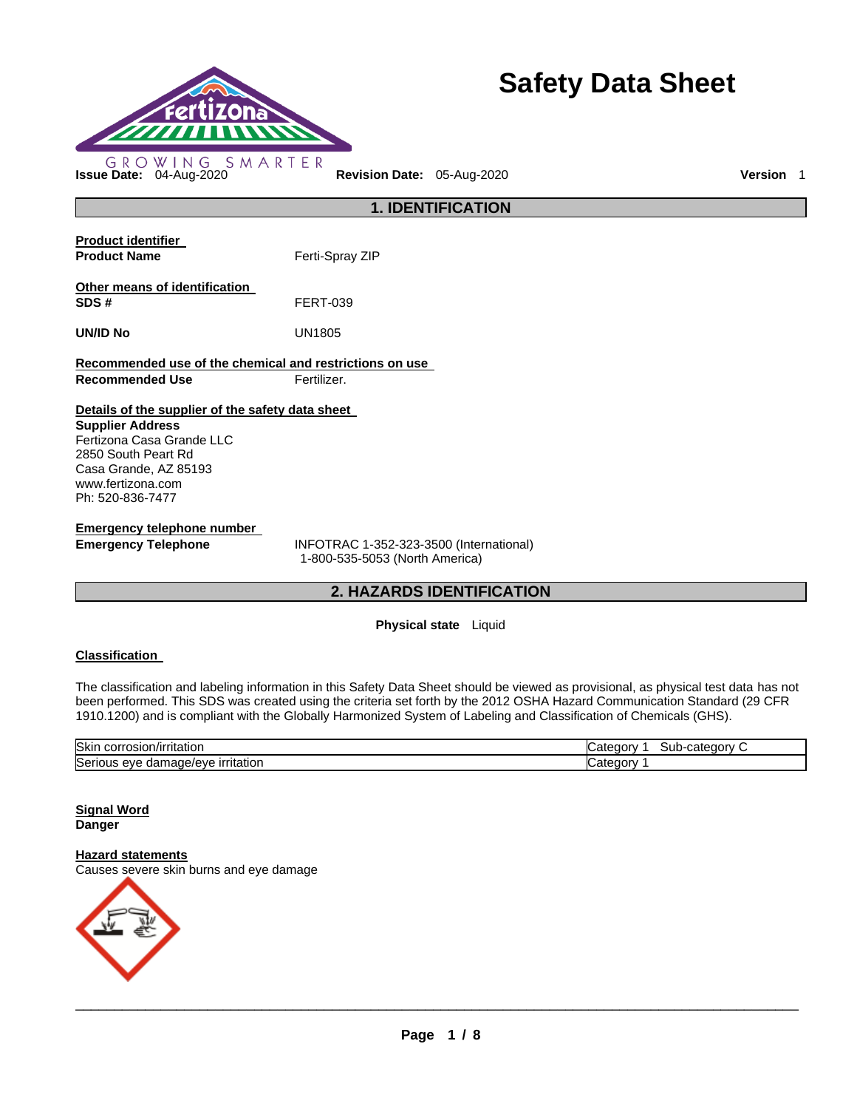

# **Safety Data Sheet**

**1. IDENTIFICATION Product identifier Product Name Ferti-Spray ZIP Other means of identification SDS #** FERT-039 **UN/ID No** UN1805 **Recommended use of the chemical and restrictions on use Recommended Use <b>Fertilizer. Details of the supplier of the safety data sheet Supplier Address** Fertizona Casa Grande LLC 2850 South Peart Rd Casa Grande, AZ 85193 www.fertizona.com Ph: 520-836-7477 **Emergency telephone number Emergency Telephone** INFOTRAC 1-352-323-3500 (International)

1-800-535-5053 (North America)

# **2. HAZARDS IDENTIFICATION**

**Physical state** Liquid

# **Classification**

The classification and labeling information in this Safety Data Sheet should be viewed as provisional, as physical test data has not been performed. This SDS was created using the criteria set forth by the 2012 OSHA Hazard Communication Standard (29 CFR 1910.1200) and is compliant with the Globally Harmonized System of Labeling and Classification of Chemicals (GHS).

| Skin<br>osion:<br>rntation.<br>JOHA.<br>               | categor<br>ำาt⊪<br>аюг<br>ouu |
|--------------------------------------------------------|-------------------------------|
| Serio<br>made.<br>ritatior<br>a/eve<br>eve<br>~<br>aar | аюг                           |

#### **Signal Word Danger**

#### **Hazard statements**

Causes severe skin burns and eye damage

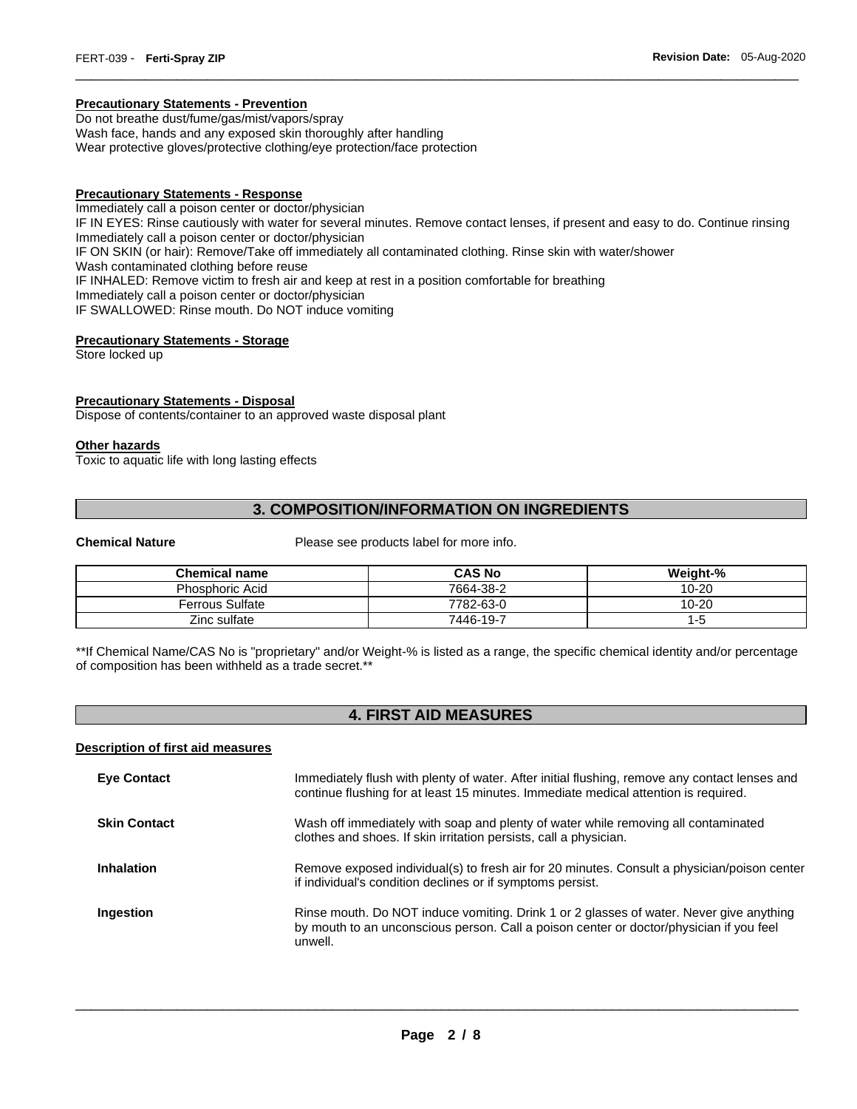#### **Precautionary Statements - Prevention**

Do not breathe dust/fume/gas/mist/vapors/spray Wash face, hands and any exposed skin thoroughly after handling Wear protective gloves/protective clothing/eye protection/face protection

#### **Precautionary Statements - Response**

Immediately call a poison center or doctor/physician IF IN EYES: Rinse cautiously with water for several minutes. Remove contact lenses, if present and easy to do. Continue rinsing Immediately call a poison center or doctor/physician IF ON SKIN (or hair): Remove/Take off immediately all contaminated clothing. Rinse skin with water/shower Wash contaminated clothing before reuse IF INHALED: Remove victim to fresh air and keep at rest in a position comfortable for breathing Immediately call a poison center or doctor/physician IF SWALLOWED: Rinse mouth. Do NOT induce vomiting

\_\_\_\_\_\_\_\_\_\_\_\_\_\_\_\_\_\_\_\_\_\_\_\_\_\_\_\_\_\_\_\_\_\_\_\_\_\_\_\_\_\_\_\_\_\_\_\_\_\_\_\_\_\_\_\_\_\_\_\_\_\_\_\_\_\_\_\_\_\_\_\_\_\_\_\_\_\_\_\_\_\_\_\_\_\_\_\_\_\_\_\_\_

#### **Precautionary Statements - Storage**

Store locked up

# **Precautionary Statements - Disposal**

Dispose of contents/container to an approved waste disposal plant

#### **Other hazards**

Toxic to aquatic life with long lasting effects

# **3. COMPOSITION/INFORMATION ON INGREDIENTS**

**Chemical Nature Please see products label for more info.** 

| <b>Chemical name</b>   | <b>CAS No</b> | Weight-%  |
|------------------------|---------------|-----------|
| <b>Phosphoric Acid</b> | 7664-38-2     | $10 - 20$ |
| Ferrous Sulfate        | 7782-63-0     | 10-20     |
| Zinc sulfate           | 7446-19-7     | -5        |

\*\*If Chemical Name/CAS No is "proprietary" and/or Weight-% is listed as a range, the specific chemical identity and/or percentage of composition has been withheld as a trade secret.\*\*

# **4. FIRST AID MEASURES**

#### **Description of first aid measures**

| <b>Eye Contact</b>  | Immediately flush with plenty of water. After initial flushing, remove any contact lenses and<br>continue flushing for at least 15 minutes. Immediate medical attention is required.          |
|---------------------|-----------------------------------------------------------------------------------------------------------------------------------------------------------------------------------------------|
| <b>Skin Contact</b> | Wash off immediately with soap and plenty of water while removing all contaminated<br>clothes and shoes. If skin irritation persists, call a physician.                                       |
| Inhalation          | Remove exposed individual(s) to fresh air for 20 minutes. Consult a physician/poison center<br>if individual's condition declines or if symptoms persist.                                     |
| Ingestion           | Rinse mouth. Do NOT induce vomiting. Drink 1 or 2 glasses of water. Never give anything<br>by mouth to an unconscious person. Call a poison center or doctor/physician if you feel<br>unwell. |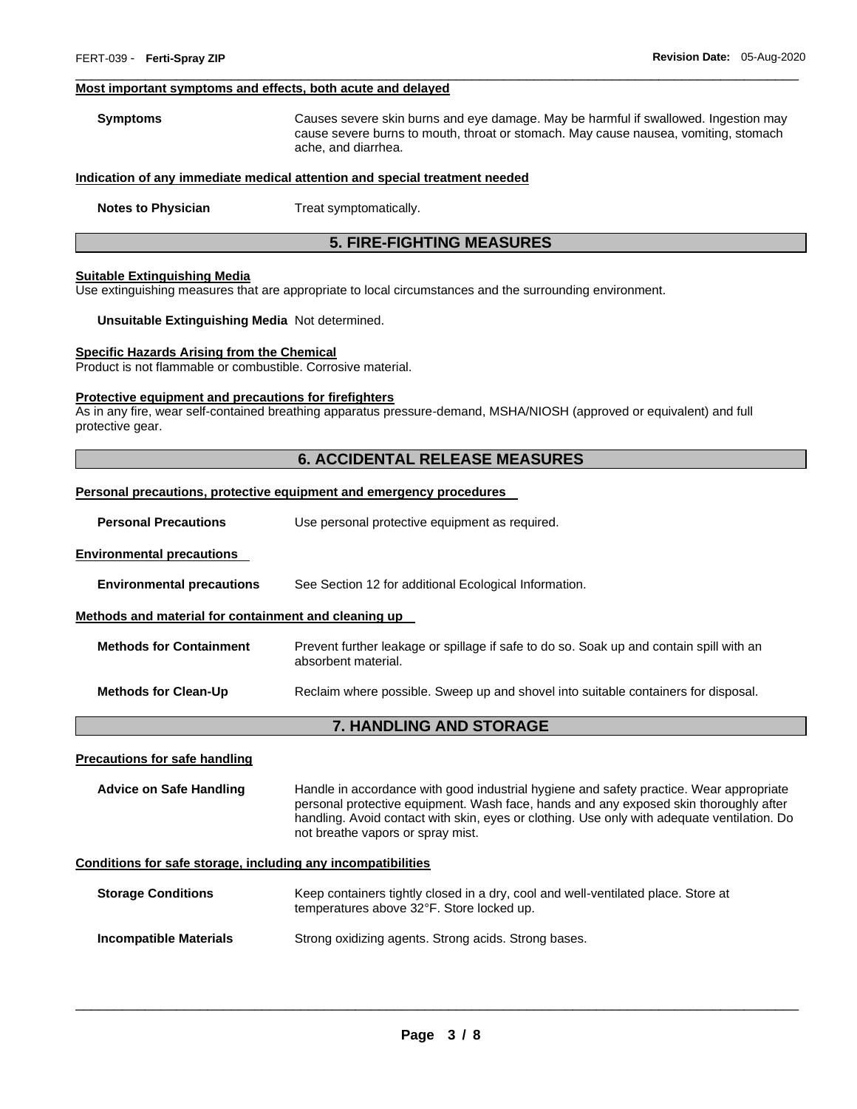#### **Most important symptoms and effects, both acute and delayed**

**Symptoms** Causes severe skin burns and eye damage. May be harmful if swallowed. Ingestion may cause severe burns to mouth, throat or stomach. May cause nausea, vomiting, stomach ache, and diarrhea.

\_\_\_\_\_\_\_\_\_\_\_\_\_\_\_\_\_\_\_\_\_\_\_\_\_\_\_\_\_\_\_\_\_\_\_\_\_\_\_\_\_\_\_\_\_\_\_\_\_\_\_\_\_\_\_\_\_\_\_\_\_\_\_\_\_\_\_\_\_\_\_\_\_\_\_\_\_\_\_\_\_\_\_\_\_\_\_\_\_\_\_\_\_

#### **Indication of any immediate medical attention and special treatment needed**

**Notes to Physician**  Treat symptomatically.

# **5. FIRE-FIGHTING MEASURES**

#### **Suitable Extinguishing Media**

Use extinguishing measures that are appropriate to local circumstances and the surrounding environment.

#### **Unsuitable Extinguishing Media** Not determined.

#### **Specific Hazards Arising from the Chemical**

Product is not flammable or combustible. Corrosive material.

#### **Protective equipment and precautions for firefighters**

As in any fire, wear self-contained breathing apparatus pressure-demand, MSHA/NIOSH (approved or equivalent) and full protective gear.

### **6. ACCIDENTAL RELEASE MEASURES**

#### **Personal precautions, protective equipment and emergency procedures**

| <b>Personal Precautions</b> | Use personal protective equipment as required. |
|-----------------------------|------------------------------------------------|
|-----------------------------|------------------------------------------------|

#### **Environmental precautions**

**Environmental precautions** See Section 12 for additional Ecological Information.

#### **Methods and material for containment and cleaning up**

| <b>Methods for Containment</b> | Prevent further leakage or spillage if safe to do so. Soak up and contain spill with an<br>absorbent material. |
|--------------------------------|----------------------------------------------------------------------------------------------------------------|
| <b>Methods for Clean-Up</b>    | Reclaim where possible. Sweep up and shovel into suitable containers for disposal.                             |

#### **7. HANDLING AND STORAGE**

#### **Precautions for safe handling**

**Advice on Safe Handling** Handle in accordance with good industrial hygiene and safety practice. Wear appropriate personal protective equipment. Wash face, hands and any exposed skin thoroughly after handling. Avoid contact with skin, eyes or clothing. Use only with adequate ventilation. Do not breathe vapors or spray mist.

# **Conditions for safe storage, including any incompatibilities**

| <b>Storage Conditions</b> | Keep containers tightly closed in a dry, cool and well-ventilated place. Store at |
|---------------------------|-----------------------------------------------------------------------------------|
|                           | temperatures above 32°F. Store locked up.                                         |
|                           |                                                                                   |

**Incompatible Materials Strong oxidizing agents. Strong acids. Strong bases.**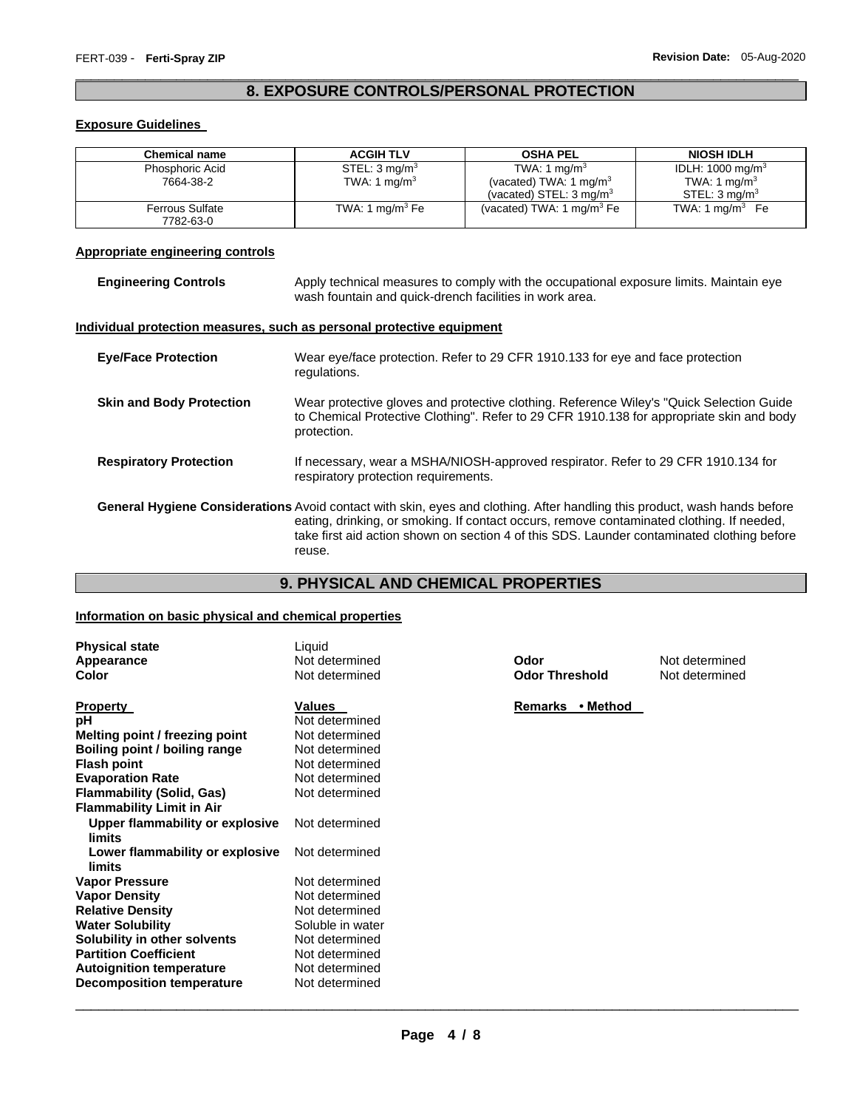# \_\_\_\_\_\_\_\_\_\_\_\_\_\_\_\_\_\_\_\_\_\_\_\_\_\_\_\_\_\_\_\_\_\_\_\_\_\_\_\_\_\_\_\_\_\_\_\_\_\_\_\_\_\_\_\_\_\_\_\_\_\_\_\_\_\_\_\_\_\_\_\_\_\_\_\_\_\_\_\_\_\_\_\_\_\_\_\_\_\_\_\_\_ **8. EXPOSURE CONTROLS/PERSONAL PROTECTION**

# **Exposure Guidelines**

| <b>Chemical name</b>                | <b>ACGIH TLV</b>          | <b>OSHA PEL</b>                                                          | <b>NIOSH IDLH</b>                                     |
|-------------------------------------|---------------------------|--------------------------------------------------------------------------|-------------------------------------------------------|
| Phosphoric Acid                     | STEL: 3 mg/m <sup>3</sup> | TWA: 1 $mq/m3$                                                           | IDLH: 1000 mg/m <sup>3</sup>                          |
| 7664-38-2                           | TWA: 1 mg/m <sup>3</sup>  | (vacated) TWA: 1 mg/m <sup>3</sup><br>(vacated) STEL: $3 \text{ mg/m}^3$ | TWA: 1 mg/m <sup>3</sup><br>STEL: 3 mg/m <sup>3</sup> |
| <b>Ferrous Sulfate</b><br>7782-63-0 | TWA: 1 mg/m $3$ Fe        | (vacated) TWA: 1 $mq/m3 Fe$                                              | TWA: 1 mg/m $3$ Fe                                    |

# **Appropriate engineering controls**

| <b>Engineering Controls</b>     | Apply technical measures to comply with the occupational exposure limits. Maintain eye<br>wash fountain and quick-drench facilities in work area.                                                                                                                                                                              |  |
|---------------------------------|--------------------------------------------------------------------------------------------------------------------------------------------------------------------------------------------------------------------------------------------------------------------------------------------------------------------------------|--|
|                                 | Individual protection measures, such as personal protective equipment                                                                                                                                                                                                                                                          |  |
| <b>Eye/Face Protection</b>      | Wear eye/face protection. Refer to 29 CFR 1910.133 for eye and face protection<br>regulations.                                                                                                                                                                                                                                 |  |
| <b>Skin and Body Protection</b> | Wear protective gloves and protective clothing. Reference Wiley's "Quick Selection Guide<br>to Chemical Protective Clothing". Refer to 29 CFR 1910.138 for appropriate skin and body<br>protection.                                                                                                                            |  |
| <b>Respiratory Protection</b>   | If necessary, wear a MSHA/NIOSH-approved respirator. Refer to 29 CFR 1910.134 for<br>respiratory protection requirements.                                                                                                                                                                                                      |  |
|                                 | General Hygiene Considerations Avoid contact with skin, eyes and clothing. After handling this product, wash hands before<br>eating, drinking, or smoking. If contact occurs, remove contaminated clothing. If needed,<br>take first aid action shown on section 4 of this SDS. Launder contaminated clothing before<br>reuse. |  |

# **9. PHYSICAL AND CHEMICAL PROPERTIES**

# **Information on basic physical and chemical properties**

| <b>Physical state</b><br>Appearance<br><b>Color</b> | Liquid<br>Not determined<br>Not determined | Odor<br><b>Odor Threshold</b> | Not determined<br>Not determined |
|-----------------------------------------------------|--------------------------------------------|-------------------------------|----------------------------------|
| <b>Property</b>                                     | <b>Values</b>                              | • Method<br>Remarks           |                                  |
| рH                                                  | Not determined                             |                               |                                  |
| Melting point / freezing point                      | Not determined                             |                               |                                  |
| Boiling point / boiling range                       | Not determined                             |                               |                                  |
| <b>Flash point</b>                                  | Not determined                             |                               |                                  |
| <b>Evaporation Rate</b>                             | Not determined                             |                               |                                  |
| <b>Flammability (Solid, Gas)</b>                    | Not determined                             |                               |                                  |
| <b>Flammability Limit in Air</b>                    |                                            |                               |                                  |
| Upper flammability or explosive<br>limits           | Not determined                             |                               |                                  |
| Lower flammability or explosive<br>limits           | Not determined                             |                               |                                  |
| <b>Vapor Pressure</b>                               | Not determined                             |                               |                                  |
| <b>Vapor Density</b>                                | Not determined                             |                               |                                  |
| <b>Relative Density</b>                             | Not determined                             |                               |                                  |
| <b>Water Solubility</b>                             | Soluble in water                           |                               |                                  |
| Solubility in other solvents                        | Not determined                             |                               |                                  |
| <b>Partition Coefficient</b>                        | Not determined                             |                               |                                  |
| <b>Autoignition temperature</b>                     | Not determined                             |                               |                                  |
| <b>Decomposition temperature</b>                    | Not determined                             |                               |                                  |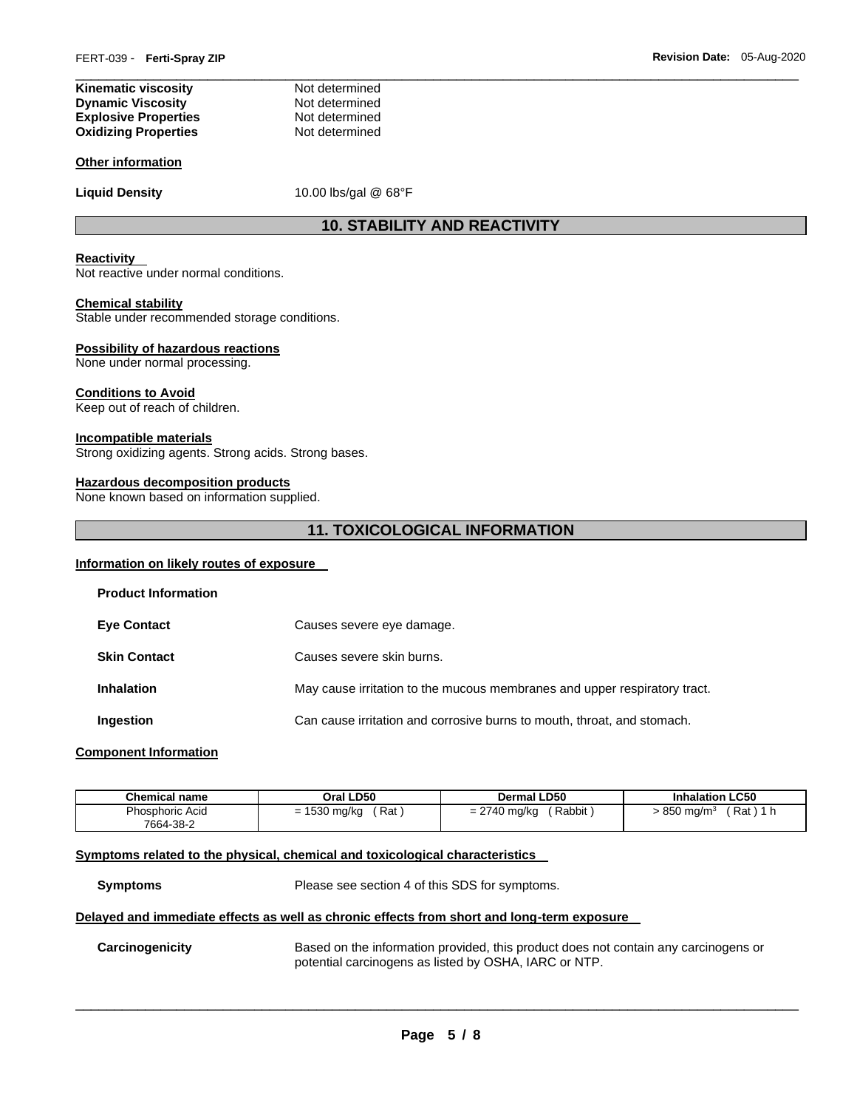| Not determined |
|----------------|
| Not determined |
| Not determined |
| Not determined |
|                |

#### **Other information**

Liquid Density **10.00 lbs/gal @ 68°F** 

# **10. STABILITY AND REACTIVITY**

\_\_\_\_\_\_\_\_\_\_\_\_\_\_\_\_\_\_\_\_\_\_\_\_\_\_\_\_\_\_\_\_\_\_\_\_\_\_\_\_\_\_\_\_\_\_\_\_\_\_\_\_\_\_\_\_\_\_\_\_\_\_\_\_\_\_\_\_\_\_\_\_\_\_\_\_\_\_\_\_\_\_\_\_\_\_\_\_\_\_\_\_\_

#### **Reactivity**

Not reactive under normal conditions.

#### **Chemical stability**

Stable under recommended storage conditions.

#### **Possibility of hazardous reactions**

None under normal processing.

#### **Conditions to Avoid**

Keep out of reach of children.

#### **Incompatible materials**

Strong oxidizing agents. Strong acids. Strong bases.

#### **Hazardous decomposition products**

None known based on information supplied.

# **11. TOXICOLOGICAL INFORMATION**

# **Information on likely routes of exposure**

| <b>Product Information</b> |                                                                           |
|----------------------------|---------------------------------------------------------------------------|
| <b>Eye Contact</b>         | Causes severe eye damage.                                                 |
| <b>Skin Contact</b>        | Causes severe skin burns.                                                 |
| <b>Inhalation</b>          | May cause irritation to the mucous membranes and upper respiratory tract. |
| Ingestion                  | Can cause irritation and corrosive burns to mouth, throat, and stomach.   |
|                            |                                                                           |

#### **Component Information**

| <b>Chemical name</b> | Oral LD50      | <b>Dermal LD50</b> | <b>Inhalation LC50</b>            |
|----------------------|----------------|--------------------|-----------------------------------|
| Phosphoric Acid      | $= 1530$ mg/kg | Rabbit             | Rat ) 1 h                         |
| 7664-38-2            | ′ Rat          | = 2740 mg/kg       | <i>&gt;</i> 850 mg/m <sup>3</sup> |

# **Symptoms related to the physical, chemical and toxicological characteristics**

**Symptoms** Please see section 4 of this SDS for symptoms.

#### **Delayed and immediate effects as well as chronic effects from short and long-term exposure**

**Carcinogenicity** Based on the information provided, this product does not contain any carcinogens or potential carcinogens as listed by OSHA, IARC or NTP.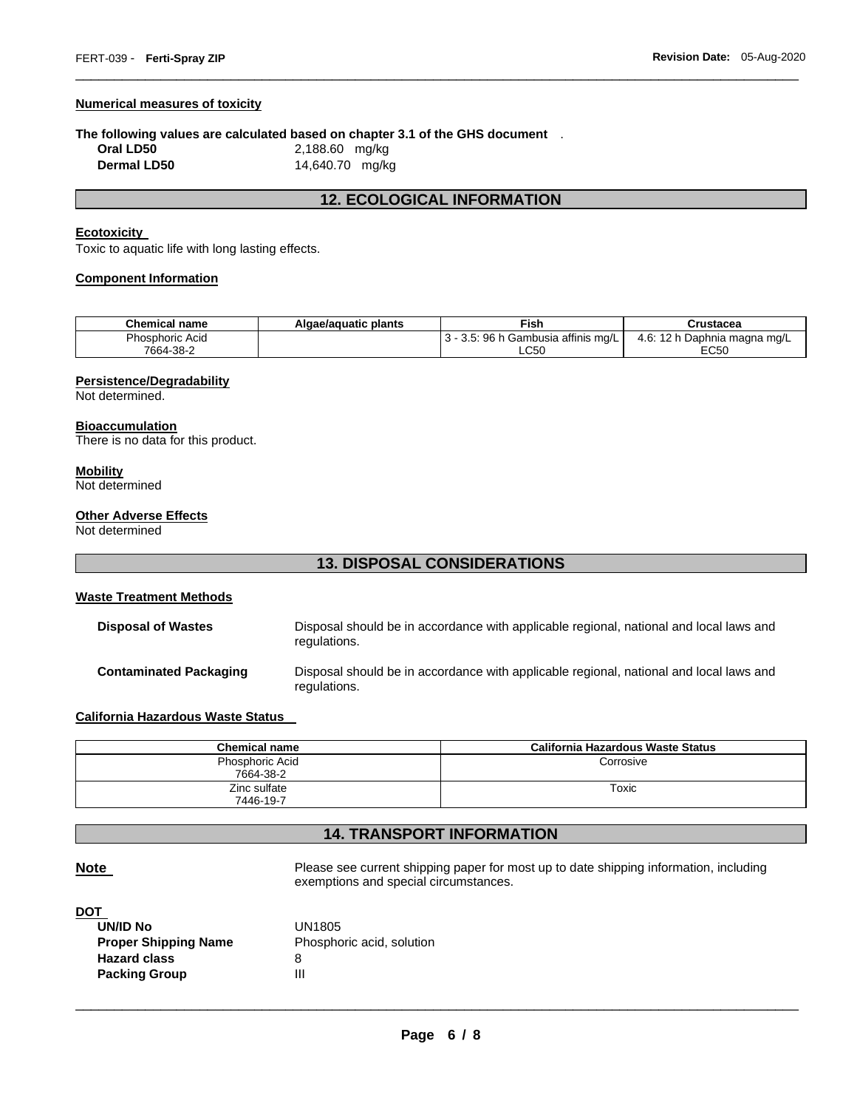#### **Numerical measures of toxicity**

#### **The following values are calculated based on chapter 3.1 of the GHS document** .

| Oral LD50   | 2,188.60 mg/kg  |
|-------------|-----------------|
| Dermal LD50 | 14,640.70 mg/kg |

# **12. ECOLOGICAL INFORMATION**

\_\_\_\_\_\_\_\_\_\_\_\_\_\_\_\_\_\_\_\_\_\_\_\_\_\_\_\_\_\_\_\_\_\_\_\_\_\_\_\_\_\_\_\_\_\_\_\_\_\_\_\_\_\_\_\_\_\_\_\_\_\_\_\_\_\_\_\_\_\_\_\_\_\_\_\_\_\_\_\_\_\_\_\_\_\_\_\_\_\_\_\_\_

# **Ecotoxicity**

Toxic to aquatic life with long lasting effects.

### **Component Information**

| <b>Chemical name</b>   | Algae/aguatic plants | Fish                                              | Crustacea                      |
|------------------------|----------------------|---------------------------------------------------|--------------------------------|
| <b>Phosphoric Acid</b> |                      | <br>.ა: 96 h Ր<br>ı Gambusia affinis mɑ/L<br>ა.ა. | 4.6:<br>2 h Daphnia magna mg/L |
| 7664-38-2              |                      | LC50                                              | EC50                           |

#### **Persistence/Degradability**

Not determined.

# **Bioaccumulation**

There is no data for this product.

# **Mobility**

Not determined

#### **Other Adverse Effects**

Not determined

# **13. DISPOSAL CONSIDERATIONS**

#### **Waste Treatment Methods**

| <b>Disposal of Wastes</b>     | Disposal should be in accordance with applicable regional, national and local laws and<br>regulations. |
|-------------------------------|--------------------------------------------------------------------------------------------------------|
| <b>Contaminated Packaging</b> | Disposal should be in accordance with applicable regional, national and local laws and<br>regulations. |

# **California Hazardous Waste Status**

| <b>Chemical name</b> | California Hazardous Waste Status |
|----------------------|-----------------------------------|
| Phosphoric Acid      | Corrosive                         |
| 7664-38-2            |                                   |
| Zinc sulfate         | Toxic                             |
| 7446-19-7            |                                   |

# **14. TRANSPORT INFORMATION**

**Note Please see current shipping paper for most up to date shipping information, including** exemptions and special circumstances.

#### **DOT**

| <b>UN/ID No</b>             | UN1805                    |
|-----------------------------|---------------------------|
| <b>Proper Shipping Name</b> | Phosphoric acid, solution |
| <b>Hazard class</b>         | 8                         |
| <b>Packing Group</b>        | Ш                         |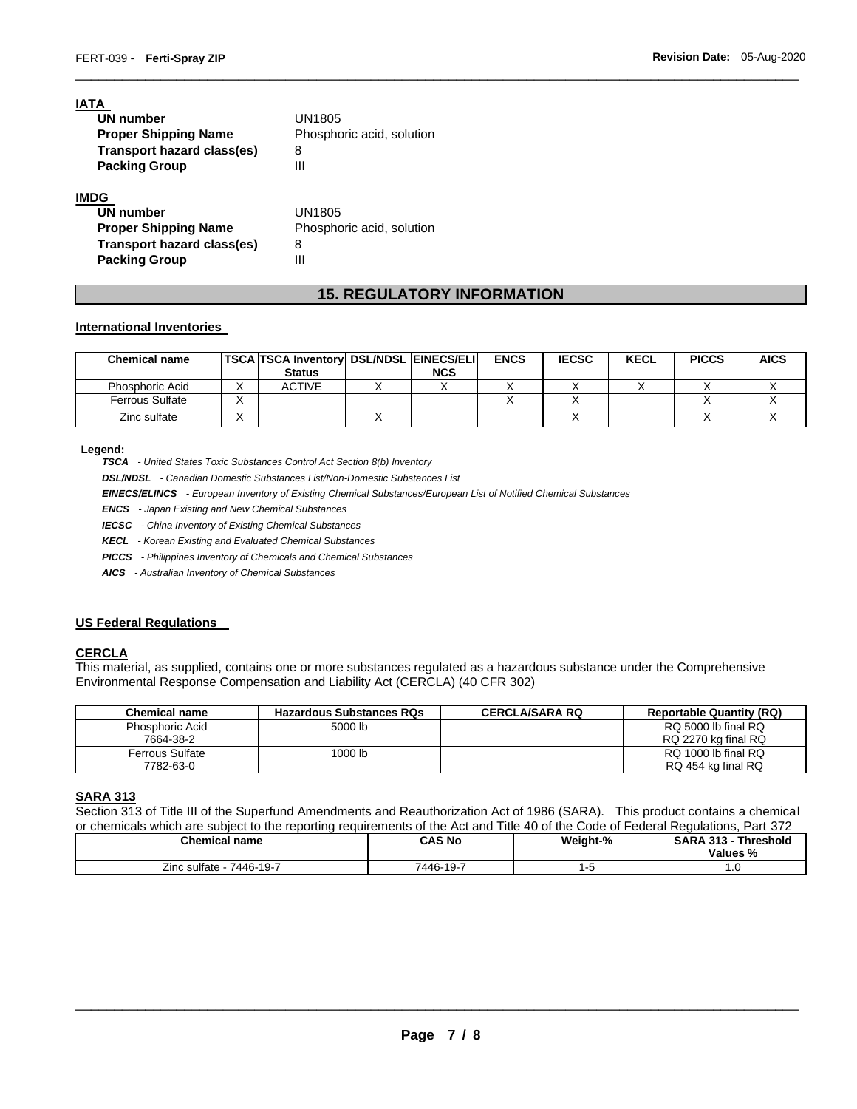| IATA                        |                           |
|-----------------------------|---------------------------|
| <b>UN number</b>            | UN1805                    |
| <b>Proper Shipping Name</b> | Phosphoric acid, solution |
| Transport hazard class(es)  | 8                         |
| <b>Packing Group</b>        | Ш                         |
| IMDG                        |                           |
| <b>UN number</b>            | UN1805                    |
| <b>Proper Shipping Name</b> | Phosphoric acid, solution |
| Transport hazard class(es)  | 8                         |

**Packing Group 111** 

# **15. REGULATORY INFORMATION**

\_\_\_\_\_\_\_\_\_\_\_\_\_\_\_\_\_\_\_\_\_\_\_\_\_\_\_\_\_\_\_\_\_\_\_\_\_\_\_\_\_\_\_\_\_\_\_\_\_\_\_\_\_\_\_\_\_\_\_\_\_\_\_\_\_\_\_\_\_\_\_\_\_\_\_\_\_\_\_\_\_\_\_\_\_\_\_\_\_\_\_\_\_

#### **International Inventories**

| <b>Chemical name</b>   | TSCA TSCA Inventory   DSL/NDSL   EINECS/ELI  <br><b>Status</b> | <b>NCS</b> | <b>ENCS</b> | <b>IECSC</b> | <b>KECL</b> | <b>PICCS</b> | <b>AICS</b> |
|------------------------|----------------------------------------------------------------|------------|-------------|--------------|-------------|--------------|-------------|
| Phosphoric Acid        | <b>ACTIVE</b>                                                  |            |             |              |             |              |             |
| <b>Ferrous Sulfate</b> |                                                                |            |             |              |             |              |             |
| Zinc sulfate           |                                                                |            |             |              |             |              |             |

#### **Legend:**

*TSCA - United States Toxic Substances Control Act Section 8(b) Inventory* 

*DSL/NDSL - Canadian Domestic Substances List/Non-Domestic Substances List* 

*EINECS/ELINCS - European Inventory of Existing Chemical Substances/European List of Notified Chemical Substances* 

*ENCS - Japan Existing and New Chemical Substances* 

*IECSC - China Inventory of Existing Chemical Substances* 

*KECL - Korean Existing and Evaluated Chemical Substances* 

*PICCS - Philippines Inventory of Chemicals and Chemical Substances* 

*AICS - Australian Inventory of Chemical Substances* 

#### **US Federal Regulations**

#### **CERCLA**

This material, as supplied, contains one or more substances regulated as a hazardous substance under the Comprehensive Environmental Response Compensation and Liability Act (CERCLA) (40 CFR 302)

| <b>Chemical name</b>   | <b>Hazardous Substances RQs</b> | <b>CERCLA/SARA RQ</b> | <b>Reportable Quantity (RQ)</b> |
|------------------------|---------------------------------|-----------------------|---------------------------------|
| Phosphoric Acid        | 5000 lb                         |                       | RQ 5000 lb final RQ             |
| 7664-38-2              |                                 |                       | RQ 2270 kg final RQ             |
| <b>Ferrous Sulfate</b> | 1000 lb                         |                       | RQ 1000 lb final RQ             |
| 7782-63-0              |                                 |                       | RQ 454 kg final RQ              |

#### **SARA 313**

Section 313 of Title III of the Superfund Amendments and Reauthorization Act of 1986 (SARA). This product contains a chemical or chemicals which are subject to the reporting requirements of the Act and Title 40 of the Code of Federal Regulations, Part 372

| <b>Chemical name</b>                | CAS No    | Weight-% | <b>SARA 313 -</b><br><b>⊺Threshold</b><br>Values % |
|-------------------------------------|-----------|----------|----------------------------------------------------|
| $\angle$ inc sulfate<br>. 7446-19-7 | 7446-19-7 |          | $\cdot$ $\circ$                                    |